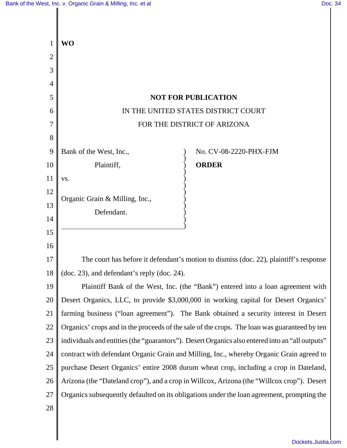|    | <b>WO</b>                                                                                       |  |
|----|-------------------------------------------------------------------------------------------------|--|
| 2  |                                                                                                 |  |
| 3  |                                                                                                 |  |
| 4  |                                                                                                 |  |
| 5  | <b>NOT FOR PUBLICATION</b>                                                                      |  |
| 6  | IN THE UNITED STATES DISTRICT COURT                                                             |  |
|    | FOR THE DISTRICT OF ARIZONA                                                                     |  |
| 8  |                                                                                                 |  |
| 9  | Bank of the West, Inc.,<br>No. CV-08-2220-PHX-FJM                                               |  |
| 10 | <b>ORDER</b><br>Plaintiff,                                                                      |  |
| 11 | VS.                                                                                             |  |
| 12 | Organic Grain & Milling, Inc.,                                                                  |  |
| 13 | Defendant.                                                                                      |  |
| 14 |                                                                                                 |  |
| 15 |                                                                                                 |  |
| 16 |                                                                                                 |  |
| 17 | The court has before it defendant's motion to dismiss (doc. 22), plaintiff's response           |  |
| 18 | (doc. 23), and defendant's reply (doc. 24).                                                     |  |
| 19 | Plaintiff Bank of the West, Inc. (the "Bank") entered into a loan agreement with                |  |
| 20 | Desert Organics, LLC, to provide \$3,000,000 in working capital for Desert Organics'            |  |
| 21 | farming business ("loan agreement"). The Bank obtained a security interest in Desert            |  |
| 22 | Organics' crops and in the proceeds of the sale of the crops. The loan was guaranteed by ten    |  |
| 23 | individuals and entities (the "guarantors"). Desert Organics also entered into an "all outputs" |  |
| 24 | contract with defendant Organic Grain and Milling, Inc., whereby Organic Grain agreed to        |  |
| 25 | purchase Desert Organics' entire 2008 durum wheat crop, including a crop in Dateland,           |  |
| 26 | Arizona (the "Dateland crop"), and a crop in Willcox, Arizona (the "Willcox crop"). Desert      |  |
| 27 | Organics subsequently defaulted on its obligations under the loan agreement, prompting the      |  |
| 28 |                                                                                                 |  |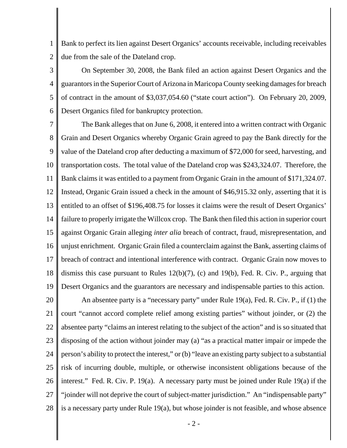1 2 Bank to perfect its lien against Desert Organics' accounts receivable, including receivables due from the sale of the Dateland crop.

3 4 5 6 On September 30, 2008, the Bank filed an action against Desert Organics and the guarantors in the Superior Court of Arizona in Maricopa County seeking damages for breach of contract in the amount of \$3,037,054.60 ("state court action"). On February 20, 2009, Desert Organics filed for bankruptcy protection.

7 8 9 10 11 12 13 14 15 16 17 18 19 The Bank alleges that on June 6, 2008, it entered into a written contract with Organic Grain and Desert Organics whereby Organic Grain agreed to pay the Bank directly for the value of the Dateland crop after deducting a maximum of \$72,000 for seed, harvesting, and transportation costs. The total value of the Dateland crop was \$243,324.07. Therefore, the Bank claims it was entitled to a payment from Organic Grain in the amount of \$171,324.07. Instead, Organic Grain issued a check in the amount of \$46,915.32 only, asserting that it is entitled to an offset of \$196,408.75 for losses it claims were the result of Desert Organics' failure to properly irrigate the Willcox crop. The Bank then filed this action in superior court against Organic Grain alleging *inter alia* breach of contract, fraud, misrepresentation, and unjust enrichment. Organic Grain filed a counterclaim against the Bank, asserting claims of breach of contract and intentional interference with contract. Organic Grain now moves to dismiss this case pursuant to Rules 12(b)(7), (c) and 19(b), Fed. R. Civ. P., arguing that Desert Organics and the guarantors are necessary and indispensable parties to this action.

20 21 22 23 24 25 26 27 28 An absentee party is a "necessary party" under Rule 19(a), Fed. R. Civ. P., if (1) the court "cannot accord complete relief among existing parties" without joinder, or (2) the absentee party "claims an interest relating to the subject of the action" and is so situated that disposing of the action without joinder may (a) "as a practical matter impair or impede the person's ability to protect the interest," or (b) "leave an existing party subject to a substantial risk of incurring double, multiple, or otherwise inconsistent obligations because of the interest." Fed. R. Civ. P. 19(a). A necessary party must be joined under Rule 19(a) if the "joinder will not deprive the court of subject-matter jurisdiction." An "indispensable party" is a necessary party under Rule 19(a), but whose joinder is not feasible, and whose absence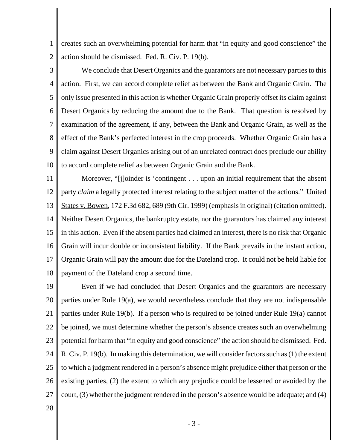1 2 creates such an overwhelming potential for harm that "in equity and good conscience" the action should be dismissed. Fed. R. Civ. P. 19(b).

3 4 5 6 7 8 9 10 We conclude that Desert Organics and the guarantors are not necessary parties to this action. First, we can accord complete relief as between the Bank and Organic Grain. The only issue presented in this action is whether Organic Grain properly offset its claim against Desert Organics by reducing the amount due to the Bank. That question is resolved by examination of the agreement, if any, between the Bank and Organic Grain, as well as the effect of the Bank's perfected interest in the crop proceeds. Whether Organic Grain has a claim against Desert Organics arising out of an unrelated contract does preclude our ability to accord complete relief as between Organic Grain and the Bank.

11 12 13 14 15 16 17 18 Moreover, "[j]oinder is 'contingent . . . upon an initial requirement that the absent party *claim* a legally protected interest relating to the subject matter of the actions." United States v. Bowen, 172 F.3d 682, 689 (9th Cir. 1999) (emphasis in original) (citation omitted). Neither Desert Organics, the bankruptcy estate, nor the guarantors has claimed any interest in this action. Even if the absent parties had claimed an interest, there is no risk that Organic Grain will incur double or inconsistent liability. If the Bank prevails in the instant action, Organic Grain will pay the amount due for the Dateland crop. It could not be held liable for payment of the Dateland crop a second time.

19 20 21 22 23 24 25 26 27 Even if we had concluded that Desert Organics and the guarantors are necessary parties under Rule 19(a), we would nevertheless conclude that they are not indispensable parties under Rule 19(b). If a person who is required to be joined under Rule 19(a) cannot be joined, we must determine whether the person's absence creates such an overwhelming potential for harm that "in equity and good conscience" the action should be dismissed. Fed. R. Civ. P. 19(b). In making this determination, we will consider factors such as (1) the extent to which a judgment rendered in a person's absence might prejudice either that person or the existing parties, (2) the extent to which any prejudice could be lessened or avoided by the court, (3) whether the judgment rendered in the person's absence would be adequate; and (4)

28